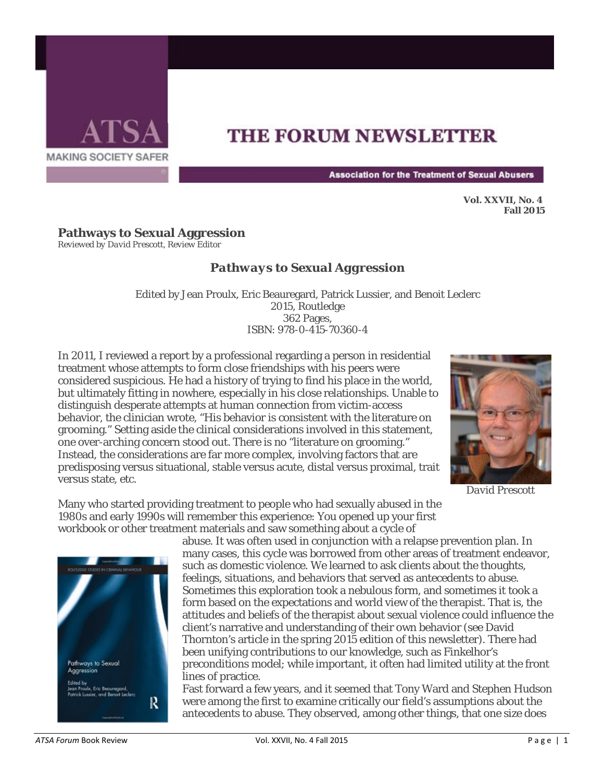

## **THE FORUM NEWSLETTER**

**Association for the Treatment of Sexual Abusers** 

**Vol. XXVII, No. 4 Fall 2015** 

## **Pathways to Sexual Aggression**

*Reviewed by David Prescott, Review Editor*

## *Pathways to Sexual Aggression*

Edited by Jean Proulx, Eric Beauregard, Patrick Lussier, and Benoit Leclerc 2015, Routledge 362 Pages, ISBN: 978-0-415-70360-4

In 2011, I reviewed a report by a professional regarding a person in residential treatment whose attempts to form close friendships with his peers were considered suspicious. He had a history of trying to find his place in the world, but ultimately fitting in nowhere, especially in his close relationships. Unable to distinguish desperate attempts at human connection from victim-access behavior, the clinician wrote, "His behavior is consistent with the literature on grooming." Setting aside the clinical considerations involved in this statement, one over-arching concern stood out. There is no "literature on grooming." Instead, the considerations are far more complex, involving factors that are predisposing versus situational, stable versus acute, distal versus proximal, trait versus state, etc.



*David Prescott*

Many who started providing treatment to people who had sexually abused in the 1980s and early 1990s will remember this experience: You opened up your first workbook or other treatment materials and saw something about a cycle of



abuse. It was often used in conjunction with a relapse prevention plan. In many cases, this cycle was borrowed from other areas of treatment endeavor, such as domestic violence. We learned to ask clients about the thoughts, feelings, situations, and behaviors that served as antecedents to abuse. Sometimes this exploration took a nebulous form, and sometimes it took a form based on the expectations and world view of the therapist. That is, the attitudes and beliefs of the therapist about sexual violence could influence the client's narrative and understanding of their own behavior (see David Thornton's article in the spring 2015 edition of this newsletter). There had been unifying contributions to our knowledge, such as Finkelhor's preconditions model; while important, it often had limited utility at the front lines of practice.

Fast forward a few years, and it seemed that Tony Ward and Stephen Hudson were among the first to examine critically our field's assumptions about the antecedents to abuse. They observed, among other things, that one size does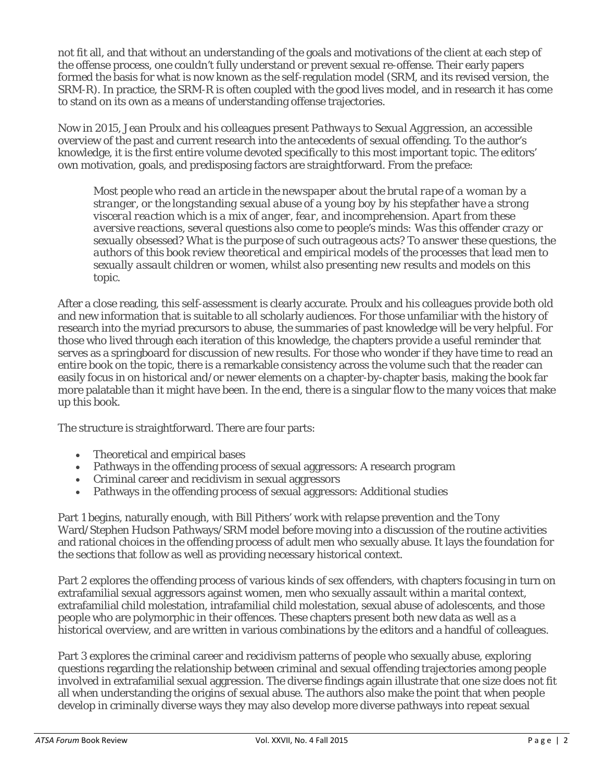not fit all, and that without an understanding of the goals and motivations of the client at each step of the offense process, one couldn't fully understand or prevent sexual re-offense. Their early papers formed the basis for what is now known as the self-regulation model (SRM, and its revised version, the SRM-R). In practice, the SRM-R is often coupled with the good lives model, and in research it has come to stand on its own as a means of understanding offense trajectories.

Now in 2015, Jean Proulx and his colleagues present *Pathways to Sexual Aggression,* an accessible overview of the past and current research into the antecedents of sexual offending. To the author's knowledge, it is the first entire volume devoted specifically to this most important topic. The editors' own motivation, goals, and predisposing factors are straightforward. From the preface:

*Most people who read an article in the newspaper about the brutal rape of a woman by a stranger, or the longstanding sexual abuse of a young boy by his stepfather have a strong visceral reaction which is a mix of anger, fear, and incomprehension. Apart from these aversive reactions, several questions also come to people's minds: Was this offender crazy or sexually obsessed? What is the purpose of such outrageous acts? To answer these questions, the authors of this book review theoretical and empirical models of the processes that lead men to sexually assault children or women, whilst also presenting new results and models on this topic.*

After a close reading, this self-assessment is clearly accurate. Proulx and his colleagues provide both old and new information that is suitable to all scholarly audiences. For those unfamiliar with the history of research into the myriad precursors to abuse, the summaries of past knowledge will be very helpful. For those who lived through each iteration of this knowledge, the chapters provide a useful reminder that serves as a springboard for discussion of new results. For those who wonder if they have time to read an entire book on the topic, there is a remarkable consistency across the volume such that the reader can easily focus in on historical and/or newer elements on a chapter-by-chapter basis, making the book far more palatable than it might have been. In the end, there is a singular flow to the many voices that make up this book.

The structure is straightforward. There are four parts:

- Theoretical and empirical bases
- Pathways in the offending process of sexual aggressors: A research program
- Criminal career and recidivism in sexual aggressors
- Pathways in the offending process of sexual aggressors: Additional studies

Part 1 begins, naturally enough, with Bill Pithers' work with relapse prevention and the Tony Ward/Stephen Hudson Pathways/SRM model before moving into a discussion of the routine activities and rational choices in the offending process of adult men who sexually abuse. It lays the foundation for the sections that follow as well as providing necessary historical context.

Part 2 explores the offending process of various kinds of sex offenders, with chapters focusing in turn on extrafamilial sexual aggressors against women, men who sexually assault within a marital context, extrafamilial child molestation, intrafamilial child molestation, sexual abuse of adolescents, and those people who are polymorphic in their offences. These chapters present both new data as well as a historical overview, and are written in various combinations by the editors and a handful of colleagues.

Part 3 explores the criminal career and recidivism patterns of people who sexually abuse, exploring questions regarding the relationship between criminal and sexual offending trajectories among people involved in extrafamilial sexual aggression. The diverse findings again illustrate that one size does not fit all when understanding the origins of sexual abuse. The authors also make the point that when people develop in criminally diverse ways they may also develop more diverse pathways into repeat sexual